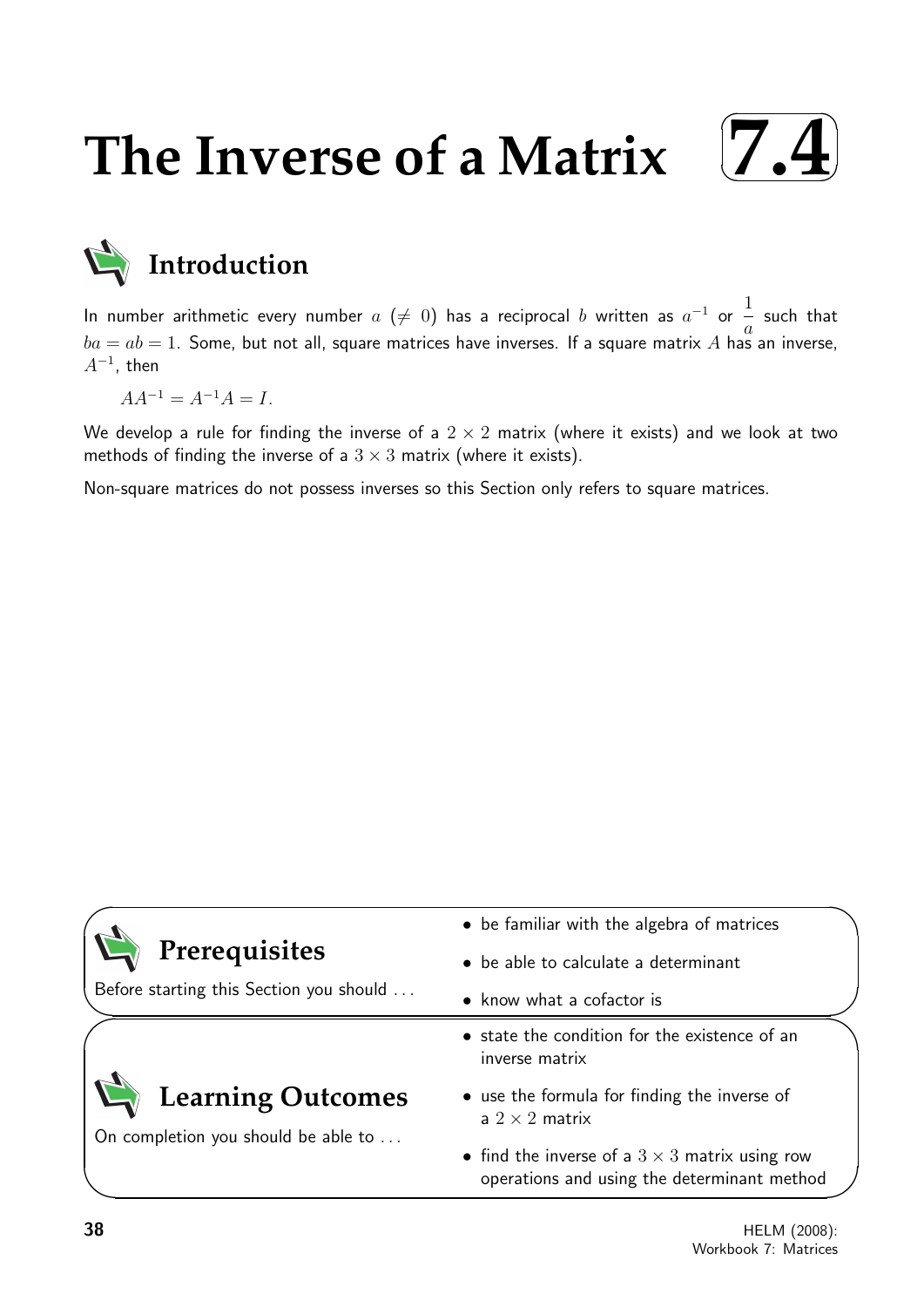# **The Inverse of a Matrix**





In number arithmetic every number  $a$   $(\neq 0)$  has a reciprocal  $b$  written as  $a^{-1}$  or  $\frac{1}{\epsilon}$ a such that  $ba = ab = 1$ . Some, but not all, square matrices have inverses. If a square matrix A has an inverse,  $A^{-1}$ , then

 $AA^{-1} = A^{-1}A = I.$ 

We develop a rule for finding the inverse of a  $2 \times 2$  matrix (where it exists) and we look at two methods of finding the inverse of a  $3 \times 3$  matrix (where it exists).

Non-square matrices do not possess inverses so this Section only refers to square matrices.

|                                         | • be familiar with the algebra of matrices                                                           |
|-----------------------------------------|------------------------------------------------------------------------------------------------------|
| Prerequisites                           | • be able to calculate a determinant                                                                 |
| Before starting this Section you should | • know what a cofactor is                                                                            |
|                                         | • state the condition for the existence of an<br>inverse matrix                                      |
| <b>Learning Outcomes</b>                | • use the formula for finding the inverse of<br>a $2 \times 2$ matrix                                |
| On completion you should be able to     | • find the inverse of a $3 \times 3$ matrix using row<br>operations and using the determinant method |

 $\overline{\phantom{0}}$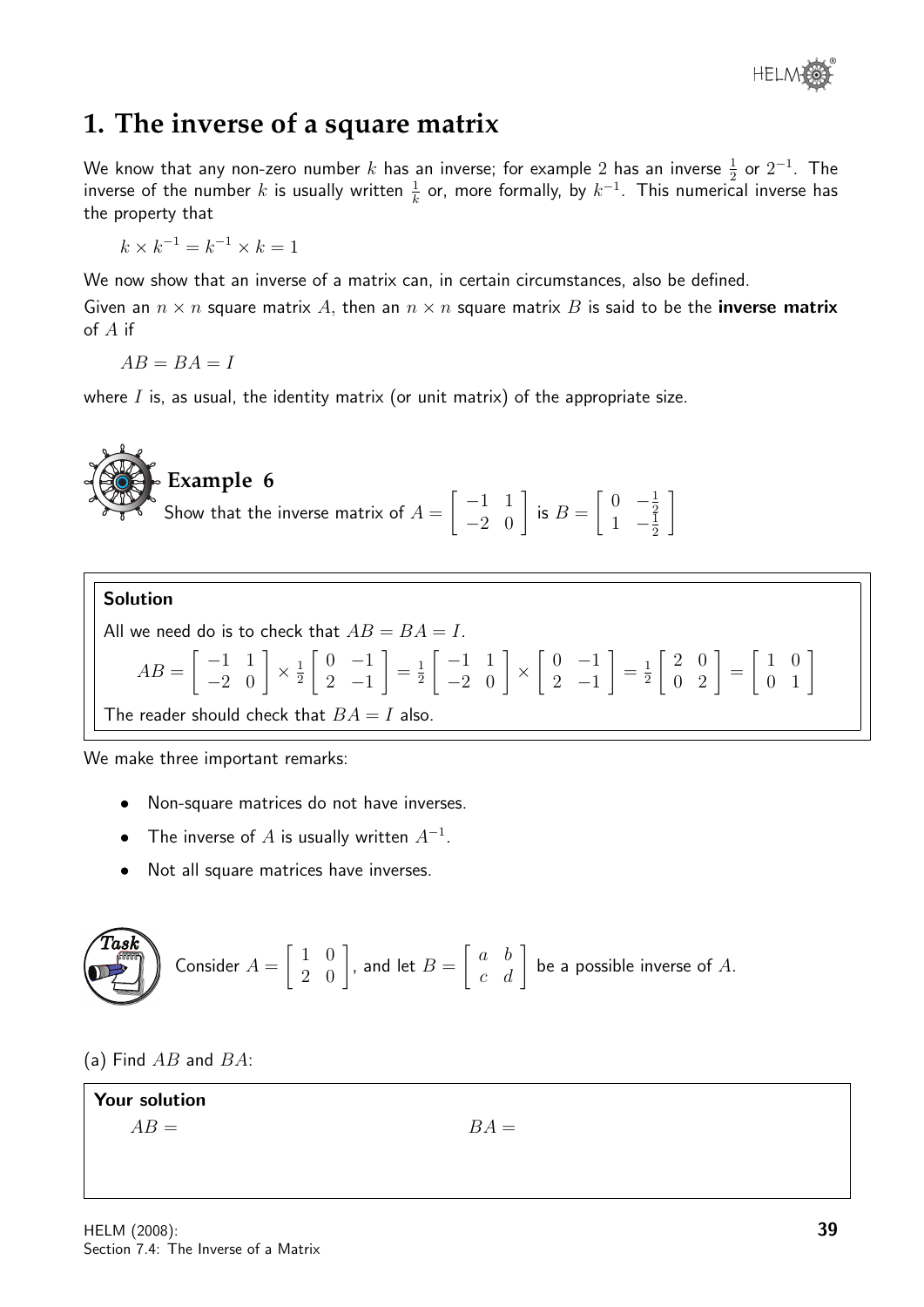

### **1. The inverse of a square matrix**

We know that any non-zero number  $k$  has an inverse; for example  $2$  has an inverse  $\frac{1}{2}$  or  $2^{-1}.$  The inverse of the number  $k$  is usually written  $\frac{1}{k}$  or, more formally, by  $k^{-1}.$  This numerical inverse has the property that

 $k \times k^{-1} = k^{-1} \times k = 1$ 

We now show that an inverse of a matrix can, in certain circumstances, also be defined.

Given an  $n \times n$  square matrix A, then an  $n \times n$  square matrix B is said to be the **inverse matrix** of A if

 $AB = BA = I$ 

where  $I$  is, as usual, the identity matrix (or unit matrix) of the appropriate size.

#### Solution All we need do is to check that  $AB = BA = I$ .  $AB =$  $\begin{bmatrix} -1 & 1 \\ -2 & 0 \end{bmatrix} \times \frac{1}{2}$ 2  $\begin{bmatrix} 0 & -1 \end{bmatrix}$ 2 −1 1  $=\frac{1}{2}$ 2  $\begin{bmatrix} -1 & 1 \\ -2 & 0 \end{bmatrix}$  ×  $\begin{bmatrix} 0 & -1 \end{bmatrix}$  $2 -1$ 1  $=\frac{1}{2}$ 2  $\left[\begin{array}{cc} 2 & 0 \\ 0 & 2 \end{array}\right] =$  $\left[\begin{array}{cc} 1 & 0 \\ 0 & 1 \end{array}\right]$

The reader should check that  $BA = I$  also.

We make three important remarks:

- Non-square matrices do not have inverses.
- The inverse of  $A$  is usually written  $A^{-1}$ .
- Not all square matrices have inverses.

**Task** Consider 
$$
A = \begin{bmatrix} 1 & 0 \\ 2 & 0 \end{bmatrix}
$$
, and let  $B = \begin{bmatrix} a & b \\ c & d \end{bmatrix}$  be a possible inverse of A.

(a) Find  $AB$  and  $BA$ :

Your solution

 $AB =$   $BA =$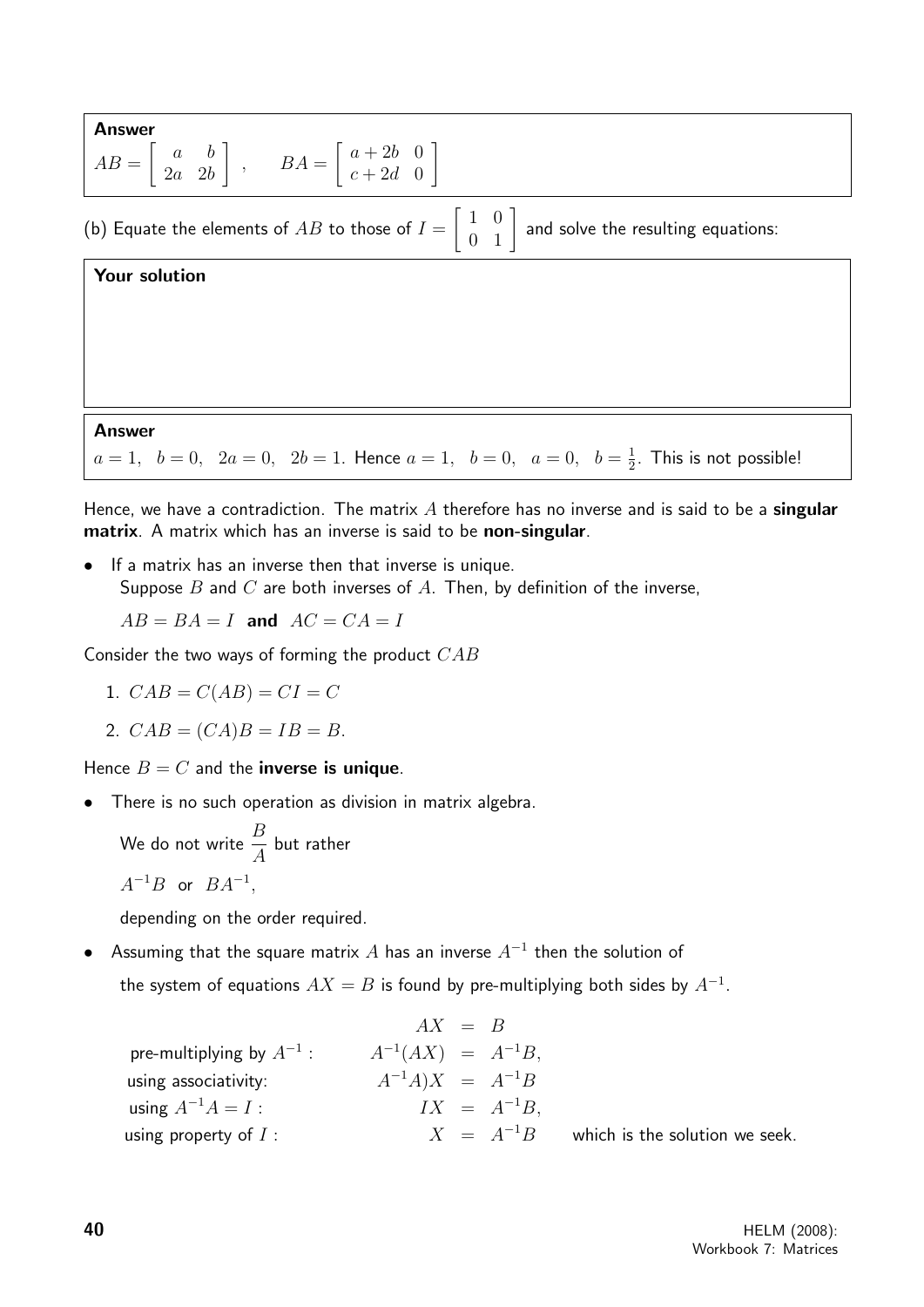Answer  
\n
$$
AB = \begin{bmatrix} a & b \\ 2a & 2b \end{bmatrix}
$$
,  $BA = \begin{bmatrix} a+2b & 0 \\ c+2d & 0 \end{bmatrix}$   
\n(b) Equate the elements of *AB* to those of  $I = \begin{bmatrix} 1 & 0 \\ 0 & 1 \end{bmatrix}$  and solve the resulting equations:  
\nYour solution

### Answer

 $a = 1, b = 0, 2a = 0, 2b = 1.$  Hence  $a = 1, b = 0, a = 0, b = \frac{1}{2}$  $\frac{1}{2}$ . This is not possible!

Hence, we have a contradiction. The matrix  $A$  therefore has no inverse and is said to be a singular matrix. A matrix which has an inverse is said to be non-singular.

• If a matrix has an inverse then that inverse is unique. Suppose  $B$  and  $C$  are both inverses of  $A$ . Then, by definition of the inverse,

 $AB = BA = I$  and  $AC = CA = I$ 

Consider the two ways of forming the product CAB

$$
1. \quad CAB = C(AB) = CI = C
$$

2.  $CAB = (CA)B = IB = B$ .

Hence  $B = C$  and the **inverse is unique**.

There is no such operation as division in matrix algebra.

We do not write  $\frac{B}{4}$ A but rather

$$
A^{-1}B \text{ or } BA^{-1},
$$

depending on the order required.

• Assuming that the square matrix  $A$  has an inverse  $A^{-1}$  then the solution of

the system of equations  $AX = B$  is found by pre-multiplying both sides by  $A^{-1}.$ 

|                               | $AX = B$                |                                |
|-------------------------------|-------------------------|--------------------------------|
| pre-multiplying by $A^{-1}$ : | $A^{-1}(AX) = A^{-1}B,$ |                                |
| using associativity:          | $A^{-1}A)X = A^{-1}B$   |                                |
| using $A^{-1}A = I$ :         | $IX = A^{-1}B.$         |                                |
| using property of $I$ :       | $X = A^{-1}B$           | which is the solution we seek. |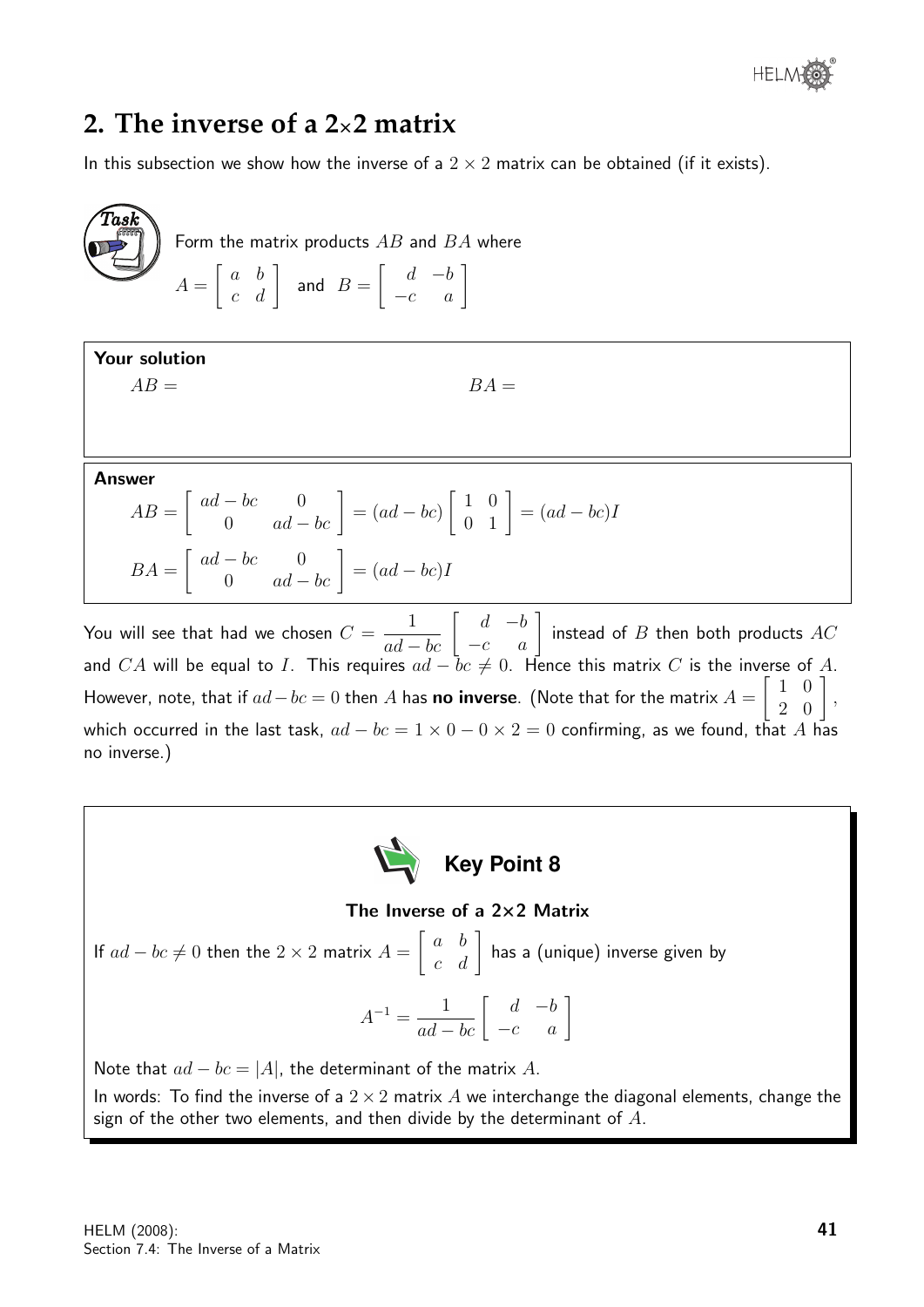### **2. The inverse of a 2**×**2 matrix**

In this subsection we show how the inverse of a  $2 \times 2$  matrix can be obtained (if it exists).

 $\widehat{T}$ as $\widehat{k}$ Form the matrix products  $AB$  and  $BA$  where  $A =$  $\begin{bmatrix} a & b \\ c & d \end{bmatrix}$  and  $B =$  $\left[\begin{array}{cc} d & -b \\ -c & a \end{array}\right]$ 

Your solution

 $AB =$   $BA =$ 

Answer

$$
AB = \begin{bmatrix} ad - bc & 0 \\ 0 & ad - bc \end{bmatrix} = (ad - bc) \begin{bmatrix} 1 & 0 \\ 0 & 1 \end{bmatrix} = (ad - bc)I
$$

$$
BA = \begin{bmatrix} ad - bc & 0 \\ 0 & ad - bc \end{bmatrix} = (ad - bc)I
$$

You will see that had we chosen  $C=\emptyset$  $\frac{1}{ad-bc}\left[\begin{array}{cc} d & -b\ -c & a \end{array}\right]$  instead of  $B$  then both products  $AC$ and  $CA$  will be equal to  $I$ . This requires  $ad-\bar{b}c\neq 0.$  Hence this matrix  $C$  is the inverse of  $A.$ However, note, that if  $ad-bc=0$  then  $A$  has **no inverse**. (Note that for the matrix  $A=$  $\sqrt{ }$ 1 0  $\begin{bmatrix} 1 & 0 \\ 2 & 0 \end{bmatrix}$ , which occurred in the last task,  $ad - bc = 1 \times 0 - 0 \times 2 = 0$  confirming, as we found, that A has no inverse.)



### The Inverse of a 2×2 Matrix

If  $ad - bc \neq 0$  then the  $2 \times 2$  matrix  $A =$  $\begin{bmatrix} a & b \\ c & d \end{bmatrix}$  has a (unique) inverse given by  $A^{-1} = \frac{1}{ad - bc} \left[ \begin{array}{cc} d & -b \\ -c & a \end{array} \right]$ 

Note that  $ad - bc = |A|$ , the determinant of the matrix A. In words: To find the inverse of a  $2 \times 2$  matrix A we interchange the diagonal elements, change the sign of the other two elements, and then divide by the determinant of  $A$ .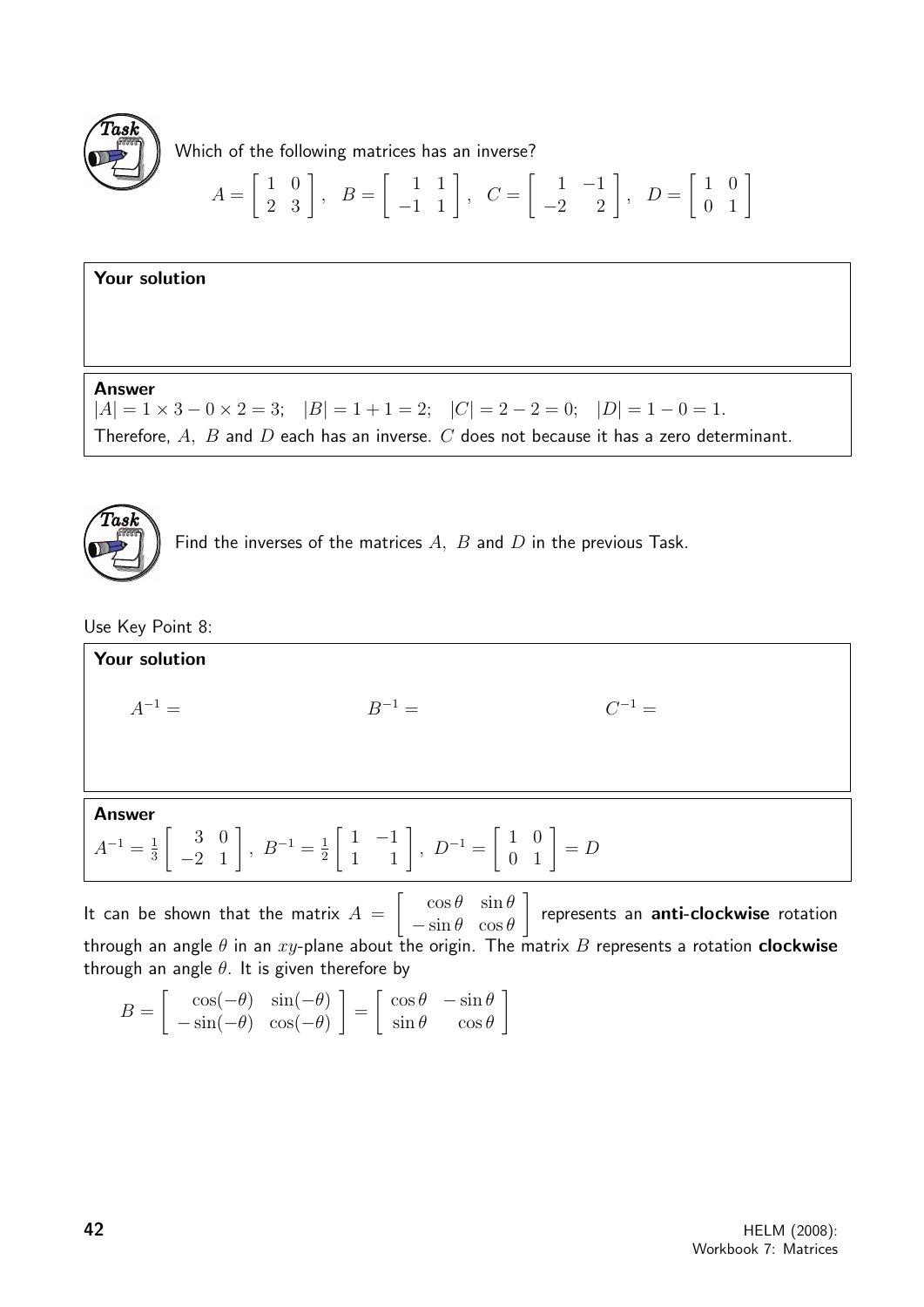

Which of the following matrices has an inverse?

$$
A = \begin{bmatrix} 1 & 0 \\ 2 & 3 \end{bmatrix}, B = \begin{bmatrix} 1 & 1 \\ -1 & 1 \end{bmatrix}, C = \begin{bmatrix} 1 & -1 \\ -2 & 2 \end{bmatrix}, D = \begin{bmatrix} 1 & 0 \\ 0 & 1 \end{bmatrix}
$$

### Your solution

Answer

 $|A| = 1 \times 3 - 0 \times 2 = 3$ ;  $|B| = 1 + 1 = 2$ ;  $|C| = 2 - 2 = 0$ ;  $|D| = 1 - 0 = 1$ . Therefore,  $A$ ,  $B$  and  $D$  each has an inverse.  $C$  does not because it has a zero determinant.



Find the inverses of the matrices  $A$ ,  $B$  and  $D$  in the previous Task.

Use Key Point 8:



through an angle  $\theta$  in an  $xy$ -plane about the origin. The matrix B represents a rotation **clockwise** through an angle  $\theta$ . It is given therefore by

$$
B = \begin{bmatrix} \cos(-\theta) & \sin(-\theta) \\ -\sin(-\theta) & \cos(-\theta) \end{bmatrix} = \begin{bmatrix} \cos\theta & -\sin\theta \\ \sin\theta & \cos\theta \end{bmatrix}
$$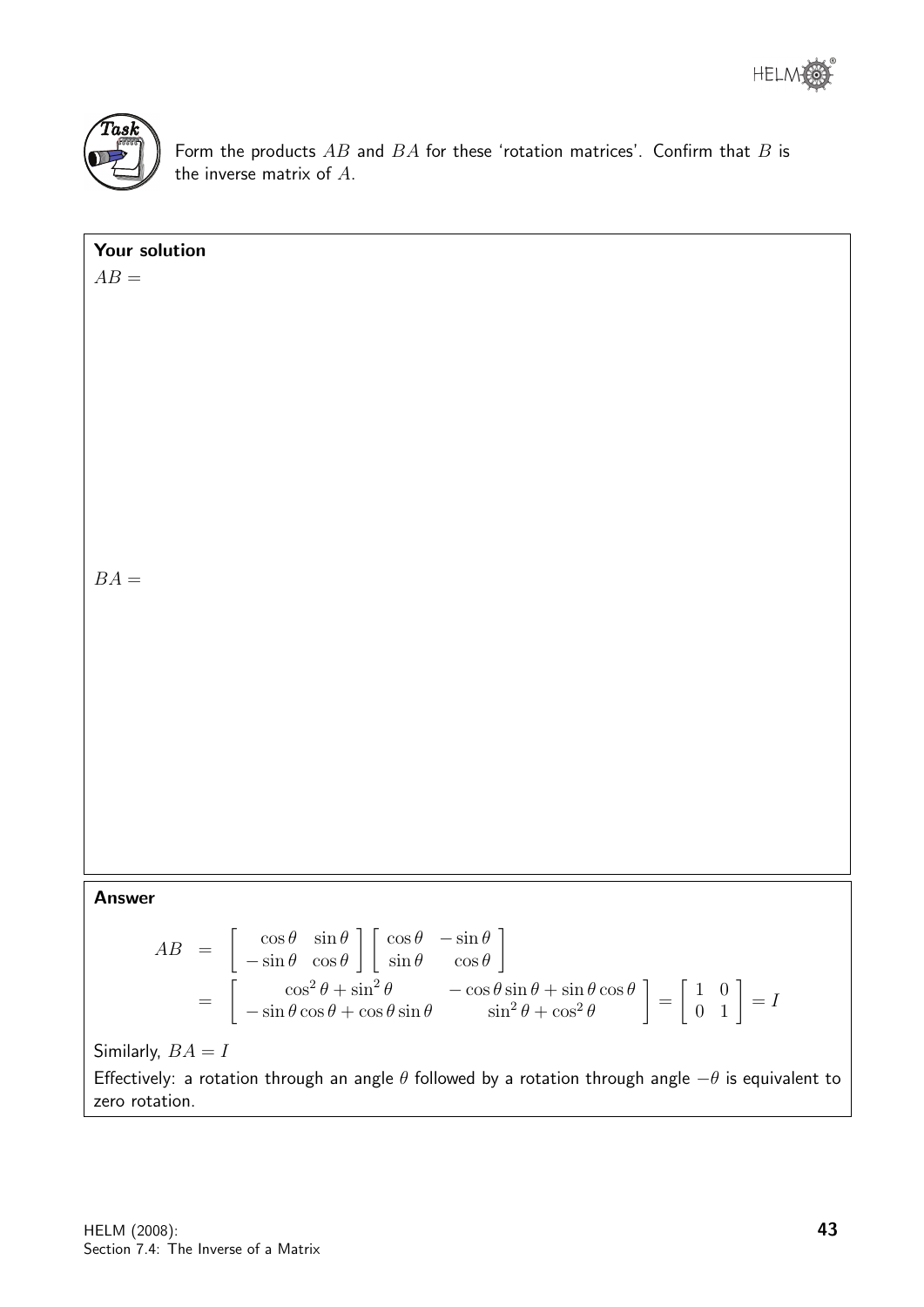

Form the products  $AB$  and  $BA$  for these 'rotation matrices'. Confirm that  $B$  is the inverse matrix of A.

| Your solution                                                                                                                                                                                                                                                                                                                                                                                                                                       |
|-----------------------------------------------------------------------------------------------------------------------------------------------------------------------------------------------------------------------------------------------------------------------------------------------------------------------------------------------------------------------------------------------------------------------------------------------------|
| $AB =$                                                                                                                                                                                                                                                                                                                                                                                                                                              |
|                                                                                                                                                                                                                                                                                                                                                                                                                                                     |
|                                                                                                                                                                                                                                                                                                                                                                                                                                                     |
|                                                                                                                                                                                                                                                                                                                                                                                                                                                     |
|                                                                                                                                                                                                                                                                                                                                                                                                                                                     |
|                                                                                                                                                                                                                                                                                                                                                                                                                                                     |
|                                                                                                                                                                                                                                                                                                                                                                                                                                                     |
|                                                                                                                                                                                                                                                                                                                                                                                                                                                     |
|                                                                                                                                                                                                                                                                                                                                                                                                                                                     |
|                                                                                                                                                                                                                                                                                                                                                                                                                                                     |
|                                                                                                                                                                                                                                                                                                                                                                                                                                                     |
|                                                                                                                                                                                                                                                                                                                                                                                                                                                     |
|                                                                                                                                                                                                                                                                                                                                                                                                                                                     |
|                                                                                                                                                                                                                                                                                                                                                                                                                                                     |
|                                                                                                                                                                                                                                                                                                                                                                                                                                                     |
|                                                                                                                                                                                                                                                                                                                                                                                                                                                     |
| $BA =$                                                                                                                                                                                                                                                                                                                                                                                                                                              |
|                                                                                                                                                                                                                                                                                                                                                                                                                                                     |
|                                                                                                                                                                                                                                                                                                                                                                                                                                                     |
|                                                                                                                                                                                                                                                                                                                                                                                                                                                     |
|                                                                                                                                                                                                                                                                                                                                                                                                                                                     |
|                                                                                                                                                                                                                                                                                                                                                                                                                                                     |
|                                                                                                                                                                                                                                                                                                                                                                                                                                                     |
|                                                                                                                                                                                                                                                                                                                                                                                                                                                     |
|                                                                                                                                                                                                                                                                                                                                                                                                                                                     |
|                                                                                                                                                                                                                                                                                                                                                                                                                                                     |
|                                                                                                                                                                                                                                                                                                                                                                                                                                                     |
|                                                                                                                                                                                                                                                                                                                                                                                                                                                     |
|                                                                                                                                                                                                                                                                                                                                                                                                                                                     |
|                                                                                                                                                                                                                                                                                                                                                                                                                                                     |
|                                                                                                                                                                                                                                                                                                                                                                                                                                                     |
|                                                                                                                                                                                                                                                                                                                                                                                                                                                     |
| <b>Answer</b>                                                                                                                                                                                                                                                                                                                                                                                                                                       |
|                                                                                                                                                                                                                                                                                                                                                                                                                                                     |
| $AB = \begin{bmatrix} \cos \theta & \sin \theta \\ -\sin \theta & \cos \theta \end{bmatrix} \begin{bmatrix} \cos \theta & -\sin \theta \\ \sin \theta & \cos \theta \end{bmatrix}$<br>= $\begin{bmatrix} \cos^2 \theta + \sin^2 \theta & -\cos \theta \sin \theta + \sin \theta \cos \theta \\ -\sin \theta \cos \theta + \cos \theta \sin \theta & \sin^2 \theta + \cos^2 \theta \end{bmatrix} = \begin{bmatrix} 1 & 0 \\ 0 & 1 \end{bmatrix} = I$ |
|                                                                                                                                                                                                                                                                                                                                                                                                                                                     |
|                                                                                                                                                                                                                                                                                                                                                                                                                                                     |
|                                                                                                                                                                                                                                                                                                                                                                                                                                                     |
|                                                                                                                                                                                                                                                                                                                                                                                                                                                     |
|                                                                                                                                                                                                                                                                                                                                                                                                                                                     |
| Similarly, $BA = I$                                                                                                                                                                                                                                                                                                                                                                                                                                 |
| Effectively: a rotation through an angle $\theta$ followed by a rotation through angle $-\theta$ is equivalent to                                                                                                                                                                                                                                                                                                                                   |

zero rotation.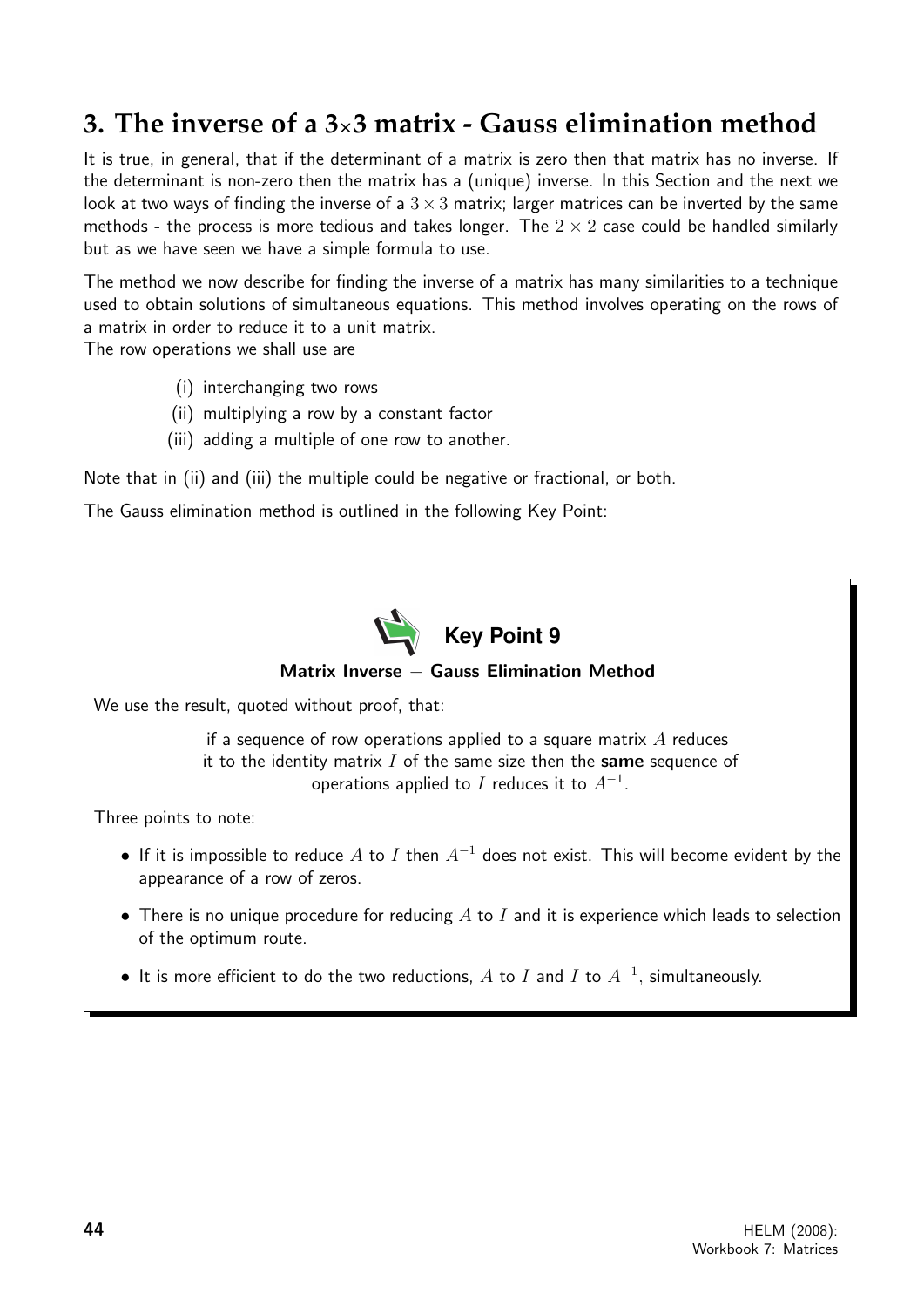## **3. The inverse of a 3**×**3 matrix - Gauss elimination method**

It is true, in general, that if the determinant of a matrix is zero then that matrix has no inverse. If the determinant is non-zero then the matrix has a (unique) inverse. In this Section and the next we look at two ways of finding the inverse of a  $3\times3$  matrix; larger matrices can be inverted by the same methods - the process is more tedious and takes longer. The  $2 \times 2$  case could be handled similarly but as we have seen we have a simple formula to use.

The method we now describe for finding the inverse of a matrix has many similarities to a technique used to obtain solutions of simultaneous equations. This method involves operating on the rows of a matrix in order to reduce it to a unit matrix.

The row operations we shall use are

- (i) interchanging two rows
- (ii) multiplying a row by a constant factor
- (iii) adding a multiple of one row to another.

Note that in (ii) and (iii) the multiple could be negative or fractional, or both.

The Gauss elimination method is outlined in the following Key Point:



• It is more efficient to do the two reductions,  $A$  to  $I$  and  $I$  to  $A^{-1}$ , simultaneously.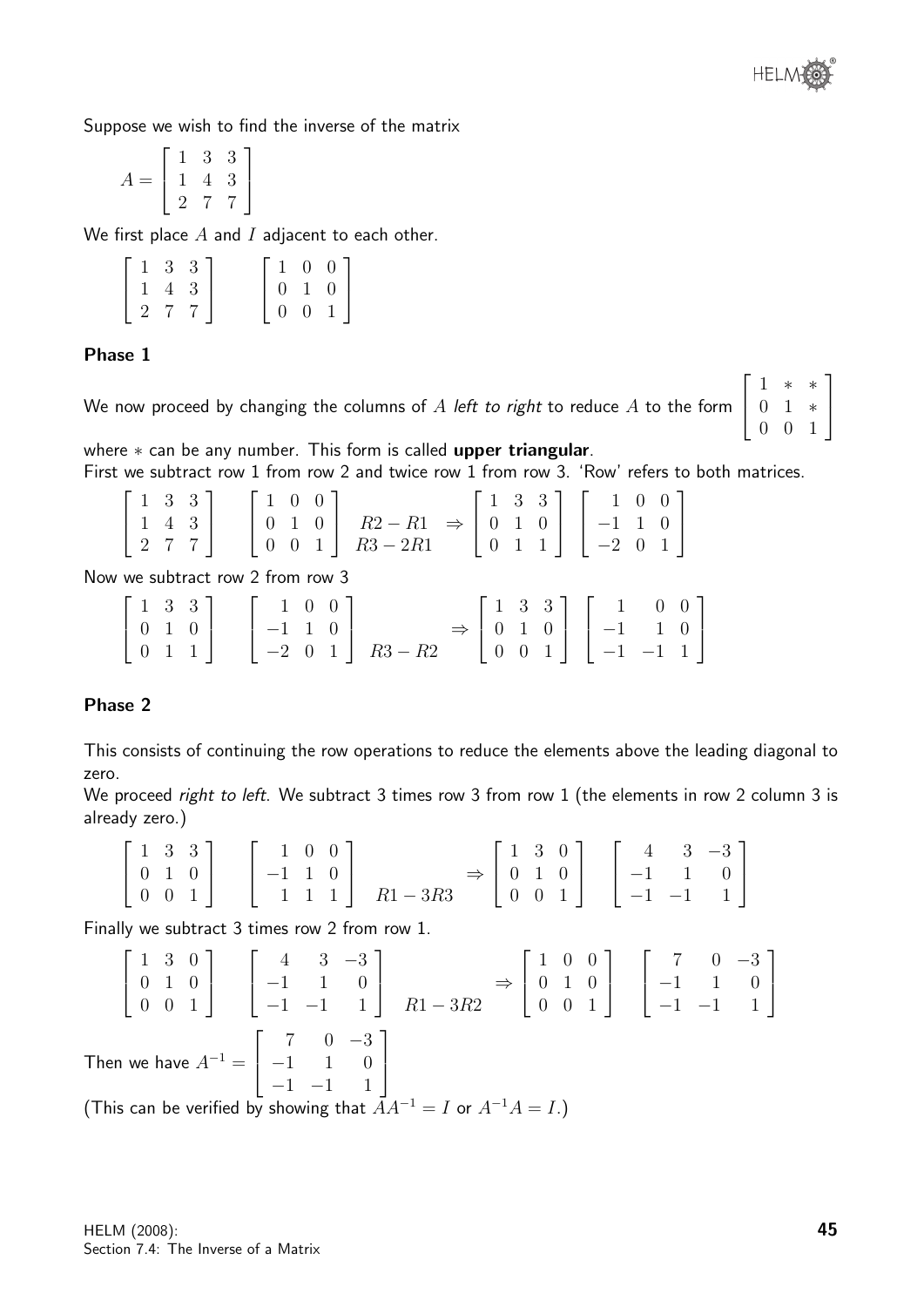

Suppose we wish to find the inverse of the matrix

$$
A = \left[ \begin{array}{rrr} 1 & 3 & 3 \\ 1 & 4 & 3 \\ 2 & 7 & 7 \end{array} \right]
$$

We first place  $A$  and  $I$  adjacent to each other.

| $\begin{bmatrix} 1 & 3 & 3 \end{bmatrix}$                            |  |  |                                                                                     |
|----------------------------------------------------------------------|--|--|-------------------------------------------------------------------------------------|
|                                                                      |  |  |                                                                                     |
| $\left[\begin{array}{ccc} 1 & 4 & 3 \\ 2 & 7 & 7 \end{array}\right]$ |  |  | $\left[ \begin{array}{ccc} 1 & 0 & 0 \\ 0 & 1 & 0 \\ 0 & 0 & 1 \end{array} \right]$ |

### Phase 1

We now proceed by changing the columns of  $A$  left to right to reduce  $A$  to the form  $\sqrt{ }$  $\overline{\phantom{a}}$ 1 ∗ ∗ 0 1 ∗ 0 0 1 1  $\overline{1}$ 

where \* can be any number. This form is called upper triangular. First we subtract row 1 from row 2 and twice row 1 from row 3. 'Row' refers to both matrices.

|     |  | $\begin{bmatrix} 1 & 3 & 3 \end{bmatrix}$ $\begin{bmatrix} 1 & 0 & 0 \end{bmatrix}$ |  |                                                                                                                                                                                         |  |  |  |
|-----|--|-------------------------------------------------------------------------------------|--|-----------------------------------------------------------------------------------------------------------------------------------------------------------------------------------------|--|--|--|
| 143 |  |                                                                                     |  | $\begin{bmatrix} 1 & 0 & 0 \\ 0 & 1 & 0 \end{bmatrix}$ $R2 - R1 \Rightarrow \begin{bmatrix} 1 & 3 & 3 \\ 0 & 1 & 0 \end{bmatrix} \begin{bmatrix} 1 & 0 & 0 \\ -1 & 1 & 0 \end{bmatrix}$ |  |  |  |
|     |  |                                                                                     |  | $\begin{bmatrix} 2 & 7 & 7 \end{bmatrix}$ $\begin{bmatrix} 0 & 0 & 1 \end{bmatrix}$ $R3 - 2R1$ $\begin{bmatrix} 0 & 1 & 1 \end{bmatrix}$ $\begin{bmatrix} -2 & 0 & 1 \end{bmatrix}$     |  |  |  |

Now we subtract row 2 from row 3

|  |  |  | $\begin{bmatrix} 1 & 3 & 3 \\ 0 & 1 & 0 \\ 0 & 1 & 1 \end{bmatrix} \quad \begin{bmatrix} 1 & 0 & 0 \\ -1 & 1 & 0 \\ -2 & 0 & 1 \end{bmatrix} \quad R3 - R2 \quad \Rightarrow \begin{bmatrix} 1 & 3 & 3 \\ 0 & 1 & 0 \\ 0 & 0 & 1 \end{bmatrix} \begin{bmatrix} 1 & 0 & 0 \\ -1 & 1 & 0 \\ -1 & -1 & 1 \end{bmatrix}$ |  |  |  |  |
|--|--|--|----------------------------------------------------------------------------------------------------------------------------------------------------------------------------------------------------------------------------------------------------------------------------------------------------------------------|--|--|--|--|

### Phase 2

This consists of continuing the row operations to reduce the elements above the leading diagonal to zero.

We proceed right to left. We subtract 3 times row 3 from row 1 (the elements in row 2 column 3 is already zero.)

$$
\begin{bmatrix} 1 & 3 & 3 \ 0 & 1 & 0 \ 0 & 0 & 1 \end{bmatrix} \begin{bmatrix} 1 & 0 & 0 \ -1 & 1 & 0 \ 1 & 1 & 1 \end{bmatrix} R1 - 3R3 \Rightarrow \begin{bmatrix} 1 & 3 & 0 \ 0 & 1 & 0 \ 0 & 0 & 1 \end{bmatrix} \begin{bmatrix} 4 & 3 & -3 \ -1 & 1 & 0 \ -1 & -1 & 1 \end{bmatrix}
$$

Finally we subtract 3 times row 2 from row 1.

$$
\begin{bmatrix} 1 & 3 & 0 \ 0 & 1 & 0 \ 0 & 0 & 1 \end{bmatrix} \begin{bmatrix} 4 & 3 & -3 \ -1 & 1 & 0 \ -1 & -1 & 1 \end{bmatrix} R1 - 3R2 \Rightarrow \begin{bmatrix} 1 & 0 & 0 \ 0 & 1 & 0 \ 0 & 0 & 1 \end{bmatrix} \begin{bmatrix} 7 & 0 & -3 \ -1 & 1 & 0 \ -1 & -1 & 1 \end{bmatrix}
$$
  
Then we have  $A^{-1} = \begin{bmatrix} 7 & 0 & -3 \ -1 & 1 & 0 \ -1 & -1 & 1 \end{bmatrix}$ 

(This can be verified by showing that  $AA^{-1} = I$  or  $A^{-1}A = I$ .)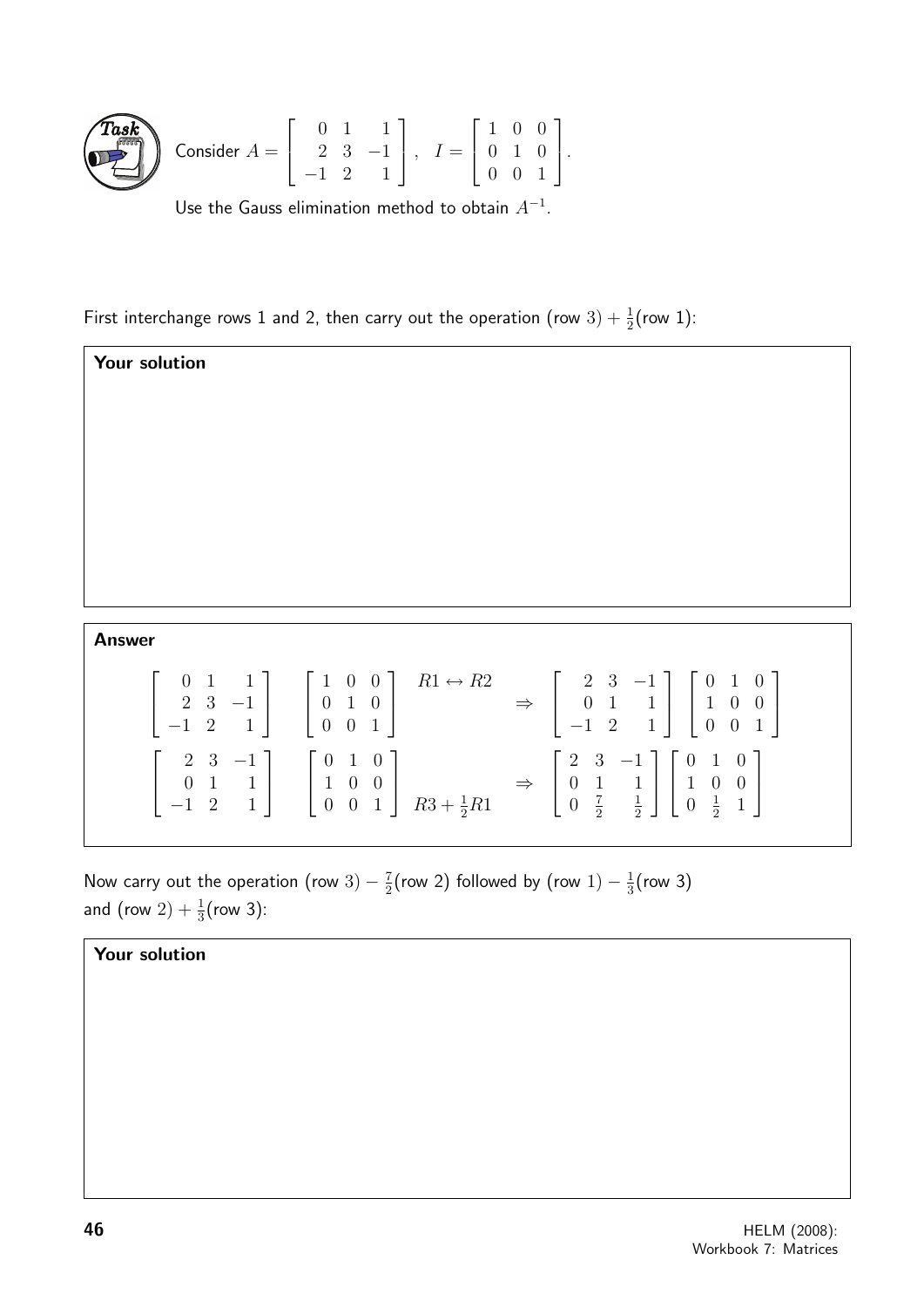

Consider 
$$
A = \begin{bmatrix} 0 & 1 & 1 \\ 2 & 3 & -1 \\ -1 & 2 & 1 \end{bmatrix}
$$
,  $I = \begin{bmatrix} 1 & 0 & 0 \\ 0 & 1 & 0 \\ 0 & 0 & 1 \end{bmatrix}$ .

Use the Gauss elimination method to obtain  $A^{-1}$ .

First interchange rows 1 and 2, then carry out the operation (row  $3) + \frac{1}{2}$ (row 1):

Your solution Answer  $\sqrt{ }$  $\overline{\phantom{a}}$ 0 1 1 2 3 −1  $-1$  2 1 1  $\overline{1}$  $\sqrt{ }$  $\overline{\phantom{a}}$ 1 0 0 0 1 0 0 0 1 1  $\overline{1}$  $R1 \leftrightarrow R2$ ⇒  $\sqrt{ }$  $\overline{\phantom{a}}$ 2 3 −1 0 1 1  $-1$  2 1 1  $\overline{1}$  $\sqrt{ }$  $\overline{\phantom{a}}$ 0 1 0 1 0 0 0 0 1 1  $\overline{1}$  $\sqrt{ }$  $\overline{\phantom{a}}$ 2 3 −1 0 1 1  $-1$  2 1 1  $\overline{1}$  $\sqrt{ }$  $\overline{\phantom{a}}$ 0 1 0 1 0 0 0 0 1 1  $\int R3 + \frac{1}{2}R1$ ⇒  $\sqrt{ }$  $\overline{\phantom{a}}$ 2 3 −1 0 1 1  $0 \frac{7}{2}$ 2 1 2 1  $\overline{1}$  $\sqrt{ }$  $\overline{\phantom{a}}$ 0 1 0 1 0 0  $0 \frac{1}{2}$  $rac{1}{2}$  1 1  $\overline{1}$ 

Now carry out the operation (row 3)  $-\frac{7}{2}$  $\frac{7}{2}$ (row 2) followed by (row  $1)-\frac{1}{3}$  $\frac{1}{3}$ (row 3) and  $({\sf row}\ 2)+\frac{1}{3}({\sf row}\ 3)$ :

Your solution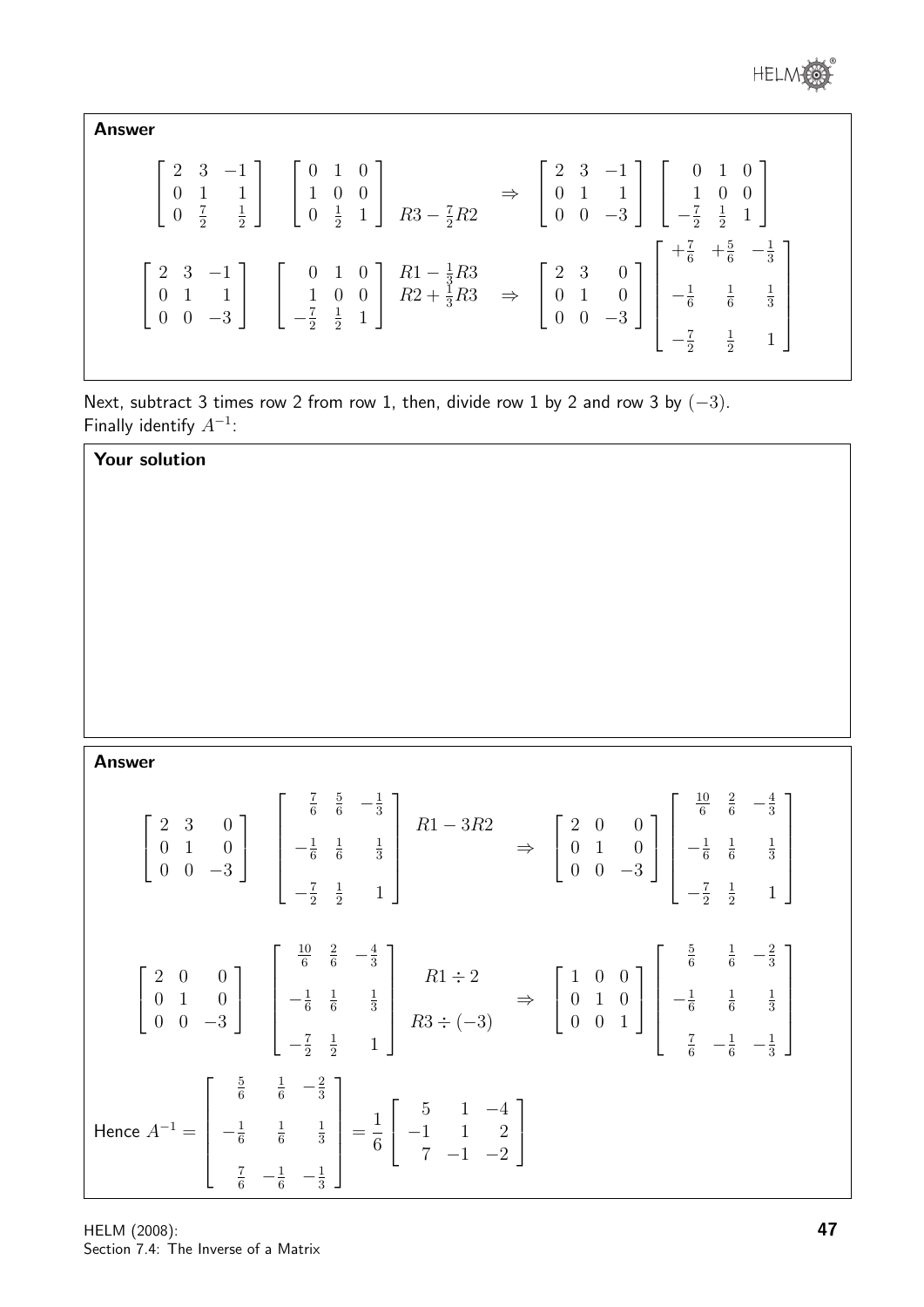

Answer

| $\begin{bmatrix} 2 & 3 & -1 \\ 0 & 1 & 1 \\ 0 & \frac{7}{2} & \frac{1}{2} \end{bmatrix} \begin{bmatrix} 0 & 1 & 0 \\ 1 & 0 & 0 \\ 0 & \frac{1}{2} & 1 \end{bmatrix} R3 - \frac{7}{2}R2 \Rightarrow \begin{bmatrix} 2 & 3 & -1 \\ 0 & 1 & 1 \\ 0 & 0 & -3 \end{bmatrix} \begin{bmatrix} 0 & 1 & 0 \\ 1 & 0 & 0 \\ -\frac{7}{2} & \frac{1}{2} & 1 \end{bmatrix}$                                                                                           |  |
|----------------------------------------------------------------------------------------------------------------------------------------------------------------------------------------------------------------------------------------------------------------------------------------------------------------------------------------------------------------------------------------------------------------------------------------------------------|--|
| $\left[\begin{array}{ccc} 2 & 3 & -1 \\ 0 & 1 & 1 \\ 0 & 0 & -3 \end{array}\right] \quad \left[\begin{array}{ccc} 0 & 1 & 0 \\ 1 & 0 & 0 \\ -\frac{7}{2} & \frac{1}{2} & 1 \end{array}\right] \begin{array}{ccc} R1-\frac{1}{3}R3 \\ R2+\frac{1}{3}R3 \\ \end{array} \Rightarrow \quad \left[\begin{array}{ccc} 2 & 3 & 0 \\ 0 & 1 & 0 \\ 0 & 0 & -3 \end{array}\right] \left[\begin{array}{ccc} +\frac{7}{6} & +\frac{5}{6} & -\frac{1}{3} \\ -\frac{1$ |  |

Next, subtract 3 times row 2 from row 1, then, divide row 1 by 2 and row 3 by  $(-3)$ . Finally identify  $A^{-1}$ :

| Your solution |                                                                                                                                                                                                                                                                                                                                                                                                                                                                             |
|---------------|-----------------------------------------------------------------------------------------------------------------------------------------------------------------------------------------------------------------------------------------------------------------------------------------------------------------------------------------------------------------------------------------------------------------------------------------------------------------------------|
|               |                                                                                                                                                                                                                                                                                                                                                                                                                                                                             |
|               |                                                                                                                                                                                                                                                                                                                                                                                                                                                                             |
|               |                                                                                                                                                                                                                                                                                                                                                                                                                                                                             |
|               |                                                                                                                                                                                                                                                                                                                                                                                                                                                                             |
|               |                                                                                                                                                                                                                                                                                                                                                                                                                                                                             |
|               |                                                                                                                                                                                                                                                                                                                                                                                                                                                                             |
| <b>Answer</b> |                                                                                                                                                                                                                                                                                                                                                                                                                                                                             |
|               | $\left[\begin{array}{ccc} 2 & 3 & 0 \\ 0 & 1 & 0 \\ 0 & 0 & -3 \end{array}\right] \left[\begin{array}{ccc} \frac{7}{6} & \frac{5}{6} & -\frac{1}{3} \\ -\frac{1}{6} & \frac{1}{6} & \frac{1}{3} \\ \end{array}\right] \left[\begin{array}{ccc} R1-3R2 \\ & \Rightarrow \end{array}\right] \Rightarrow \left[\begin{array}{ccc} 2 & 0 & 0 \\ 0 & 1 & 0 \\ 0 & 0 & -3 \end{array}\right] \left[\begin{array}{ccc} \frac{2\sqrt{3}}{6} & \frac{2}{6} & -\frac{2}{3} \\ -\frac$ |
|               | $\begin{bmatrix} 2 & 0 & 0 \\ 0 & 1 & 0 \\ 0 & 0 & -3 \end{bmatrix}$ $\begin{bmatrix} \frac{10}{6} & \frac{2}{6} & -\frac{4}{3} \\ -\frac{1}{6} & \frac{1}{6} & \frac{1}{3} \\ -\frac{7}{6} & 1 & 1 \end{bmatrix}$ $\begin{aligned} R1 \div 2 \\ R3 \div (-3) \end{aligned}$ $\Rightarrow$ $\begin{bmatrix} 1 & 0 & 0 \\ 0 & 1 & 0 \\ 0 & 0 & 1 \end{bmatrix}$ $\begin{bmatrix} \frac{3}{6} & \frac{1}{6} & -\frac{$                                                        |
|               | Hence $A^{-1} = \begin{bmatrix} \frac{5}{6} & \frac{1}{6} & -\frac{2}{3} \\ -\frac{1}{6} & \frac{1}{6} & \frac{1}{3} \\ \frac{7}{6} & -\frac{1}{6} & -\frac{1}{3} \end{bmatrix} = \frac{1}{6} \begin{bmatrix} 5 & 1 & -4 \\ -1 & 1 & 2 \\ 7 & -1 & -2 \end{bmatrix}$                                                                                                                                                                                                        |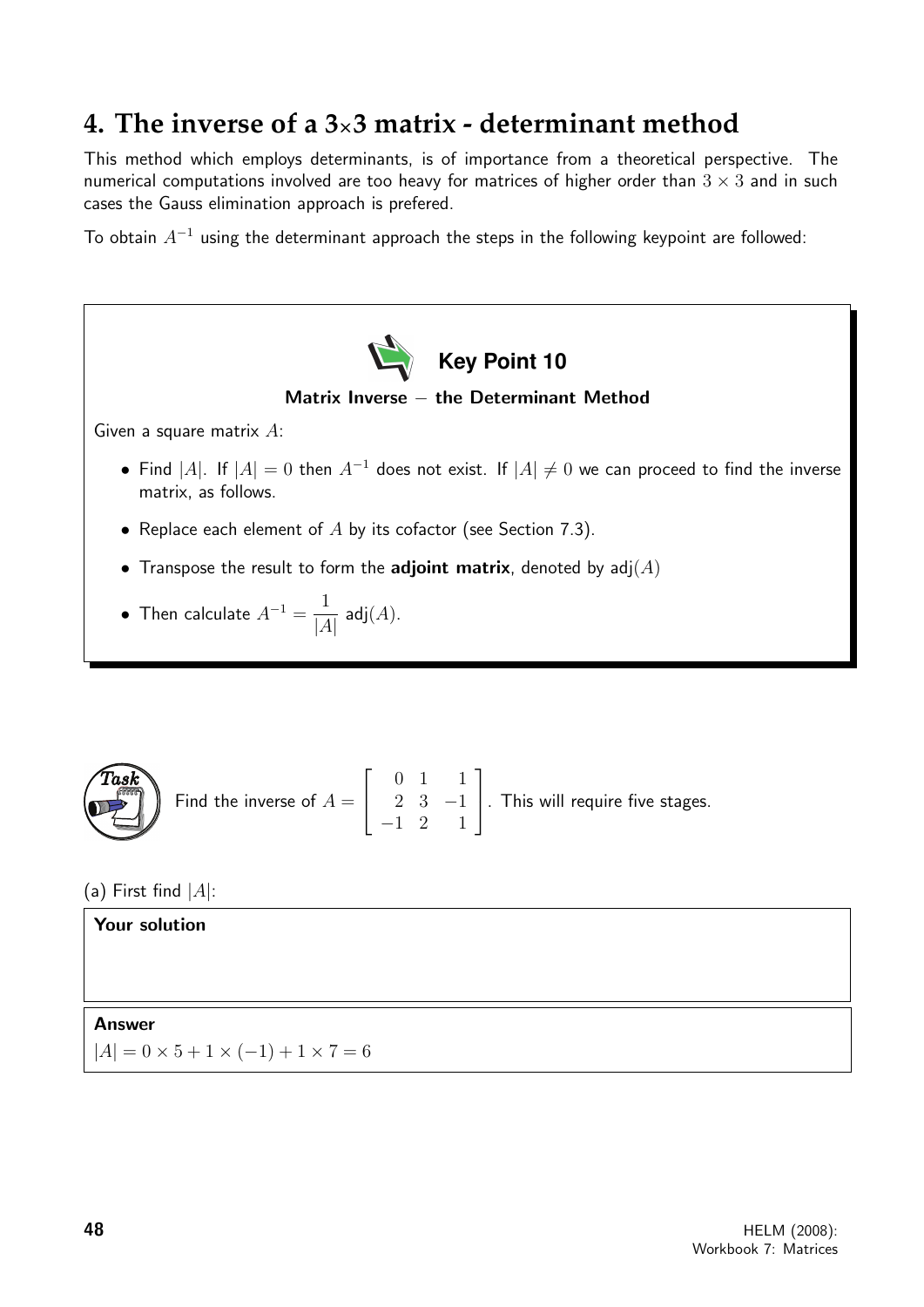### **4. The inverse of a 3**×**3 matrix - determinant method**

This method which employs determinants, is of importance from a theoretical perspective. The numerical computations involved are too heavy for matrices of higher order than  $3 \times 3$  and in such cases the Gauss elimination approach is prefered.

To obtain  $A^{-1}$  using the determinant approach the steps in the following keypoint are followed:



**Task**  
Find the inverse of 
$$
A = \begin{bmatrix} 0 & 1 & 1 \\ 2 & 3 & -1 \\ -1 & 2 & 1 \end{bmatrix}
$$
. This will require five stages.

(a) First find  $|A|$ :

Your solution Answer  $|A| = 0 \times 5 + 1 \times (-1) + 1 \times 7 = 6$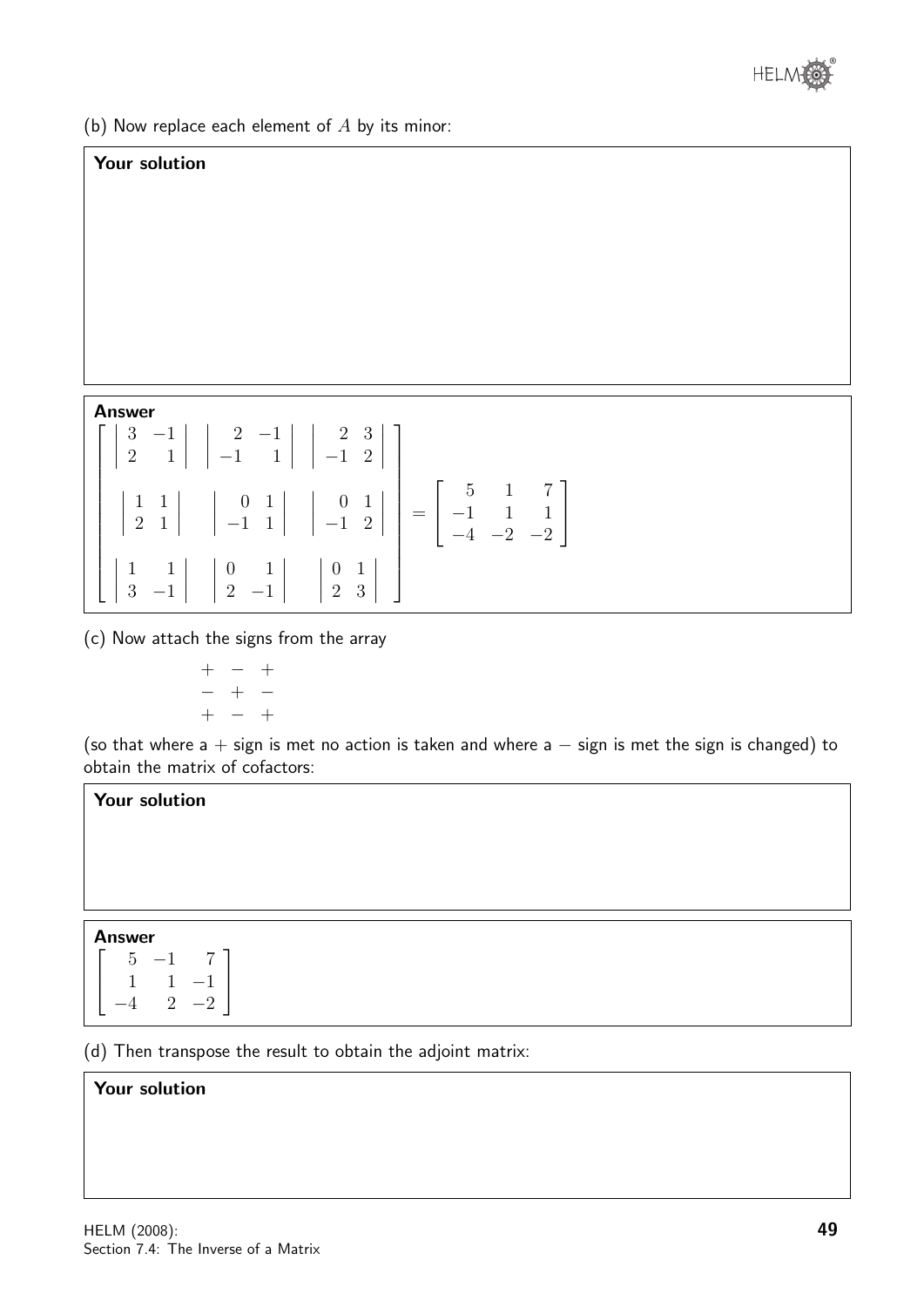

(b) Now replace each element of  $A$  by its minor:

### Your solution

#### Answer

|  | $\begin{bmatrix} 3 & -1 \\ 2 & 1 \end{bmatrix}$ $\begin{bmatrix} 2 & -1 \\ -1 & 1 \end{bmatrix}$ $\begin{bmatrix} 2 & 3 \\ -1 & 2 \end{bmatrix}$                                                                                                 |  |
|--|--------------------------------------------------------------------------------------------------------------------------------------------------------------------------------------------------------------------------------------------------|--|
|  | $\begin{vmatrix} 1 & 1 & 1 \\ 2 & 1 & 1 \end{vmatrix}$ $\begin{vmatrix} 0 & 1 & 1 \\ -1 & 1 & 1 \end{vmatrix}$ $\begin{vmatrix} 0 & 1 & 1 \\ -1 & 2 & 1 \end{vmatrix}$ = $\begin{bmatrix} 5 & 1 & 7 \\ -1 & 1 & 1 \\ -4 & -2 & -2 \end{bmatrix}$ |  |
|  | $\begin{bmatrix} 1 & 1 & 0 & 1 \\ 3 & -1 & 2 & -1 \end{bmatrix}$ $\begin{bmatrix} 0 & 1 & 0 & 1 \\ 2 & 3 & 0 & 0 \end{bmatrix}$                                                                                                                  |  |

(c) Now attach the signs from the array

$$
\begin{array}{cccc} + & - & + & \\ - & + & - & \\ + & - & + & \end{array}
$$

(so that where  $a + sign$  is met no action is taken and where  $a - sign$  is met the sign is changed) to obtain the matrix of cofactors:

### Your solution

### Answer

| 5 | $\frac{1}{2}$ | 7    |
|---|---------------|------|
|   | 1             | $-1$ |
|   | $\mathcal{D}$ | $-2$ |

(d) Then transpose the result to obtain the adjoint matrix:

### Your solution